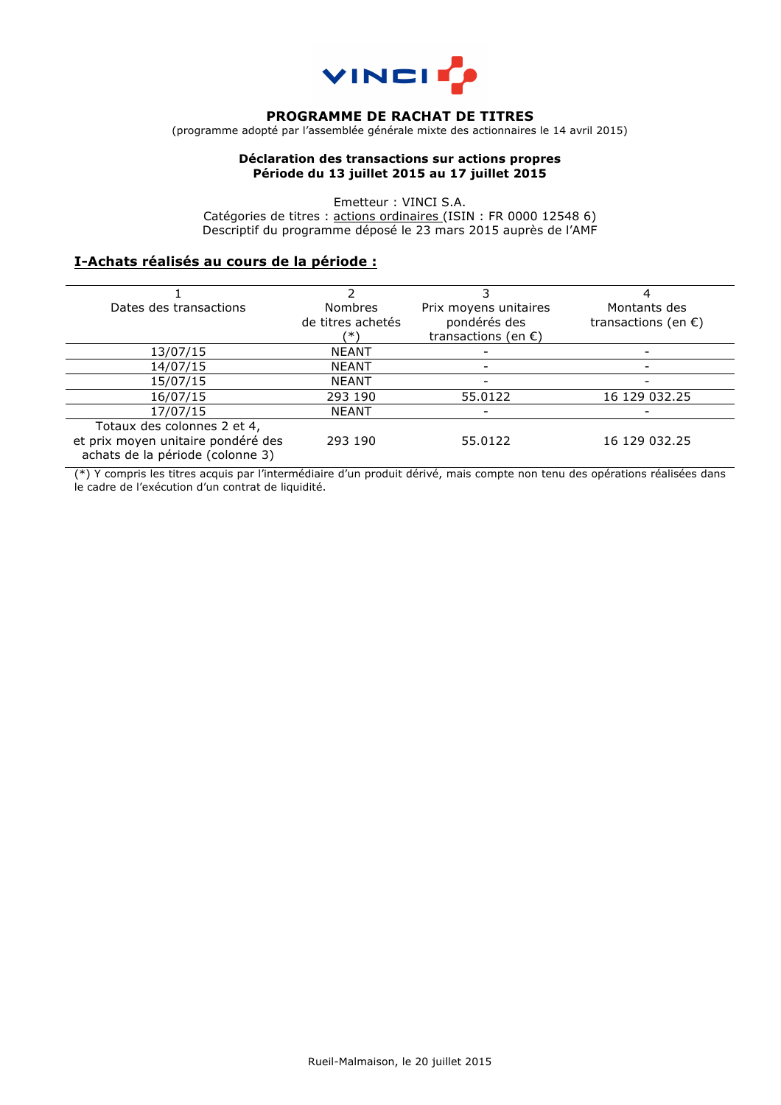

## **PROGRAMME DE RACHAT DE TITRES**

(programme adopté par l'assemblée générale mixte des actionnaires le 14 avril 2015)

### **Déclaration des transactions sur actions propres Période du 13 juillet 2015 au 17 juillet 2015**

Emetteur : VINCI S.A. Catégories de titres : actions ordinaires (ISIN : FR 0000 12548 6) Descriptif du programme déposé le 23 mars 2015 auprès de l'AMF

## **I-Achats réalisés au cours de la période :**

| Dates des transactions             | <b>Nombres</b>    | Prix moyens unitaires         | Montants des                  |
|------------------------------------|-------------------|-------------------------------|-------------------------------|
|                                    | de titres achetés | pondérés des                  | transactions (en $\epsilon$ ) |
|                                    | ′* \              | transactions (en $\epsilon$ ) |                               |
| 13/07/15                           | <b>NEANT</b>      |                               |                               |
| 14/07/15                           | <b>NEANT</b>      |                               |                               |
| 15/07/15                           | <b>NEANT</b>      |                               |                               |
| 16/07/15                           | 293 190           | 55.0122                       | 16 129 032.25                 |
| 17/07/15                           | <b>NEANT</b>      |                               |                               |
| Totaux des colonnes 2 et 4,        |                   |                               |                               |
| et prix moyen unitaire pondéré des | 293 190           | 55.0122                       | 16 129 032.25                 |
| achats de la période (colonne 3)   |                   |                               |                               |

(\*) Y compris les titres acquis par l'intermédiaire d'un produit dérivé, mais compte non tenu des opérations réalisées dans le cadre de l'exécution d'un contrat de liquidité.